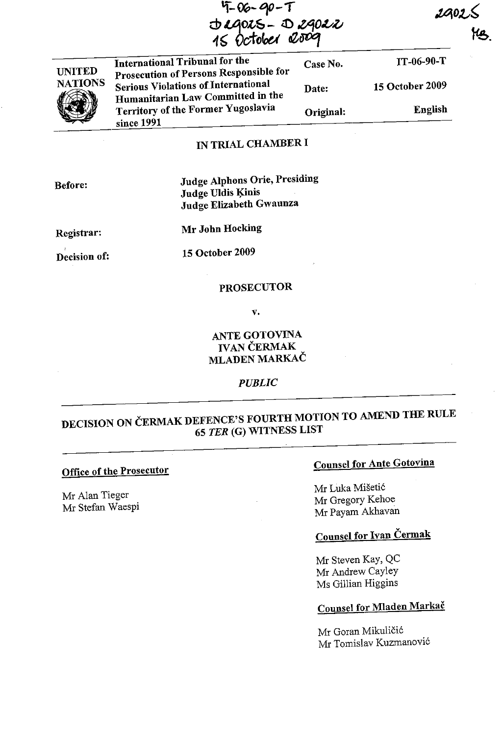$4 - 06 - 90 - 1$ Jegors - Degoer<br>15 October 2009

| International Tribunal for the<br>Prosecution of Persons Responsible for        | Case No.  | <b>TT-06-90-T</b>      |
|---------------------------------------------------------------------------------|-----------|------------------------|
| <b>Serious Violations of International</b><br>Humanitarian Law Committed in the | Date:     | <b>15 October 2009</b> |
| Territory of the Former Yugoslavia                                              | Original: | <b>English</b>         |

## IN TRIAL CHAMBER I

Judge Alphons Orie, Presiding Judge Uldis Kinis Judge Elizabeth Gwaunza

Registrar:

Mr John Hocking

Decision of:

15 October 2009

#### PROSECUTOR

v.

### ANTE GOTOVINA IVAN CERMAK **MLADEN MARKAČ**

### *PUBLIC*

## DECISION ON ČERMAK DEFENCE'S FOURTH MOTION TO AMEND THE RULE <sup>65</sup>TER (G) WITNESS LIST

#### Office of the Prosecutor

Mr Alan Tieger Mr Stefan Waespi

## Counsel for Ante Gotovina

Mr Luka Miseti6 Mr Gregory Kehoe Mr Payam Akhavan

## Counsel for Ivan Cermak

Mr Steven Kay, QC Mr Andrew Cayley Ms Gillian Higgins

## Counsel for Mladen Markač

Mr Goran Mikuličić Mr Tomislav Kuzmanovi6

Before:

UNITED **NATIONS** 

**(B)** 

since 1991

2902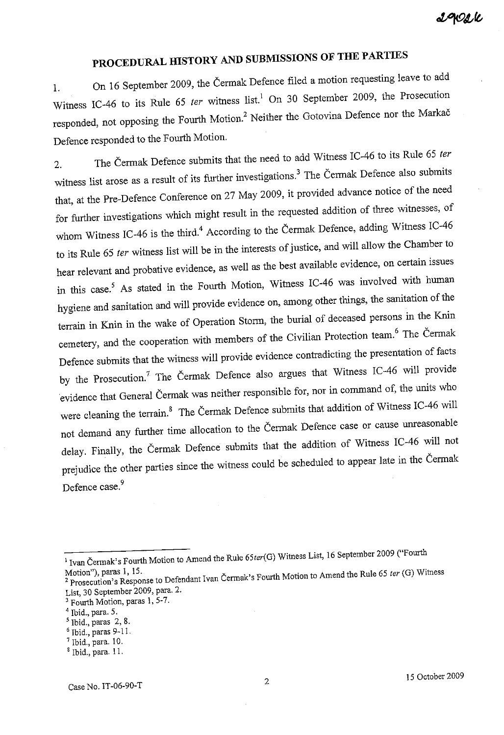# **PROCEDURAL HISTORY AND SUBMISSIONS OF THE PARTIES**

1. On 16 September 2009, the Cermak Defence filed a motion requesting leave to add Witness IC-46 to its Rule 65 *ter* witness list.<sup>1</sup> On 30 September 2009, the Prosecution responded, not opposing the Fourth Motion.<sup>2</sup> Neither the Gotovina Defence nor the Markač Defence responded to the Fourth Motion.

2. The Cermak Defence submits that the need to add Witness IC-46 to its Rule <sup>65</sup>*ter*  witness list arose as a result of its further investigations.<sup>3</sup> The Čermak Defence also submits that, at the Pre-Defence Conference on 27 May 2009, it provided advance notice of the need for further investigations which might result in the requested addition of three witnesses, of whom Witness IC-46 is the third.<sup>4</sup> According to the Čermak Defence, adding Witness IC-46 to its Rule 65 *ter* witness list will be in the interests of justice, and will allow the Chamber to hear relevant and probative evidence, as well as the best available evidence, on certain issues in this case.<sup>5</sup> As stated in the Fourth Motion, Witness IC-46 was involved with human hygiene and sanitation and will provide evidence on, among other things, the sanitation of the terrain in Knin in the wake of Operation Storm, the burial of deceased persons in the Knin cemetery, and the cooperation with members of the Civilian Protection team.<sup>6</sup> The Cermak Defence submits that the witness will provide evidence contradicting the presentation of facts by the Prosecution.<sup>7</sup> The Čermak Defence also argues that Witness IC-46 will provide evidence that General Cermak was neither responsible for, nor in command of, the units who were cleaning the terrain.<sup>8</sup> The Cermak Defence submits that addition of Witness IC-46 will not demand any further time allocation to the Cermak Defence case or cause unreasonable delay. Finally, the Cermak Defence submits that the addition of Witness IC-46 will not prejudice the other parties since the witness could be scheduled to appear late in the Cermak Defence case.<sup>9</sup>

<sup>&</sup>lt;sup>1</sup> Ivan Čermak's Fourth Motion to Amend the Rule 65ter(G) Witness List, 16 September 2009 ("Fourth

Motion"), paras I, 15. 2 Prosecution's Response to Defendant Ivan Cennak's Fourth Motion to Amend the Rule <sup>65</sup>*ter* (G) Witness List, 30 September 2009, para. 2.

 $3$  Fourth Motion, paras 1, 5-7.

<sup>&</sup>lt;sup>4</sup> Ibid., para. 5.

 $<sup>5</sup>$  Ibid., paras 2, 8.</sup>

 $6$  Ibid., paras 9-11.

 $7$  Ibid., para. 10.

 $$$  Ibid., para. 11.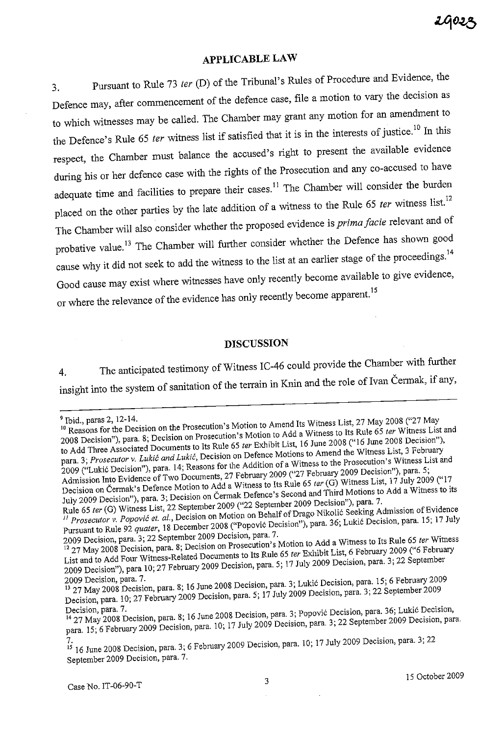## **APPLICABLE LAW**

3. Pursuant to Rule 73 *ter* (D) of the Tribunal's Rules of Procedure and Evidence, the Defence may, after commencement of the defence case, file a motion to vary the decision as to which witnesses may be called. The Chamber may grant any motion for an amendment to the Defence's Rule 65 *ter* witness list if satisfied that it is in the interests of justice.<sup>10</sup> In this respect, the Chamber must balance the accused's right to present the available evidence during his or her defence case with the rights of the Prosecution and any co-accused to have adequate time and facilities to prepare their cases.<sup>11</sup> The Chamber will consider the burden placed on the other parties by the late addition of a witness to the Rule 65 *ter* witness list.<sup>12</sup> The Chamber will also consider whether the proposed evidence is *prima facie* relevant and of probative value.<sup>13</sup> The Chamber will further consider whether the Defence has shown good cause why it did not seek to add the witness to the list at an earlier stage of the proceedings.<sup>14</sup> Good cause may exist where witnesses have only recently become available to give evidence, or where the relevance of the evidence has only recently become apparent.<sup>15</sup>

### **DISCUSSION**

4. The anticipated testimony of Witness IC-46 could provide the Chamber with further insight into the system of sanitation of the terrain in Knin and the role of Ivan Cermak, if any,

<sup>&</sup>lt;sup>9</sup> Ibid., paras 2, 12-14.

<sup>10</sup> Reasons for the Decision on the Prosecution's Motion to Amend Its Witness List, 27 May 2008 ("27 May 2008") 2008 Decision"), para. 8; Decision on Prosecution's Motion to Add a Witness to Its Rule 65 *ler* Witness List and to Add Three Associated Documents to Its Rule 65 *ler* Exhibit List, 16 June 2008 ("16 June 2008 Decision"), para. 3; Prosecutor v. Lukić and Lukić, Decision on Defence Motions to Amend the Witness List, 3 February 2009 ("Lukic Decision"), para. 14; Reasons for the Addition of a Witness to the Prosecution's Witness List and Admission Into Evidence of Two Documents, 27 February 2009 ("27 February 2009 Decision"), para. 5; Decision on Cermak's Defence Motion to Add a Witness to Its Rule <sup>65</sup>*ter* (G) Witness List, 17 July 2009 ("17 July 2009 Decision"), para. 3; Decision on Cermak Defence's Second and Third Motions to Add a Witness to its Rule 65 *ter* (G) Witness List, 22 September 2009 ("22 September 2009 Decision"), para. 7.

*J1 Prosecutor* v. *Popovic et. ai.,* Decision on Motion on Behalf of Drago Nikolic Seeking Admission of Evidence Pursuant to Rule 92 *quater,* <sup>18</sup>December 2008 ("Popovic Decision"), para. 36; Lukic Decision, para. 15; 17 July 2009 Decision, para. 3; 22 September 2009 Decision, para. 7.

<sup>12</sup> 27 May 2008 Decision, para. 8; Decision on Prosecution's Motion to Add a Witness to Its Rule <sup>65</sup>*ter* Witness List and to Add Four Witness-Related Documents to Its Rule <sup>65</sup>*ter* Exhibit List, 6 February 2009 ("6 February 2009 Decision"), para 10; 27 February 2009 Decision, para. 5; <sup>17</sup>July 2009 Decision, para. 3; 22 September

<sup>2009</sup> Decision, para. 7. 13 27 May 2008 Decision, para. 8; 16 June 2008 Decision, para. 3; Lukic Decision, para. 15; 6 February 2009 Decision, para. 10; 27 February 2009 Decision, para. 5; 17 July 2009 Decision, para. 3; 22 September 2009 Decision, para. 7.

<sup>1427</sup> May 2008 Decision, para. 8; <sup>16</sup>June 2008 Decision, para. 3; Popovic Decision, para. 36; Lukic Decision, para. 15; 6 February 2009 Decision, para. 10; 17 July 2009 Decision, para. 3; 22 September 2009 Decision, para.

<sup>7.</sup>  15 16 June 2008 Decision, para. 3; 6 February 2009 Decision, para. 10; 17 July 2009 Decision, para. 3; 22 September 2009 Decision, para. 7.